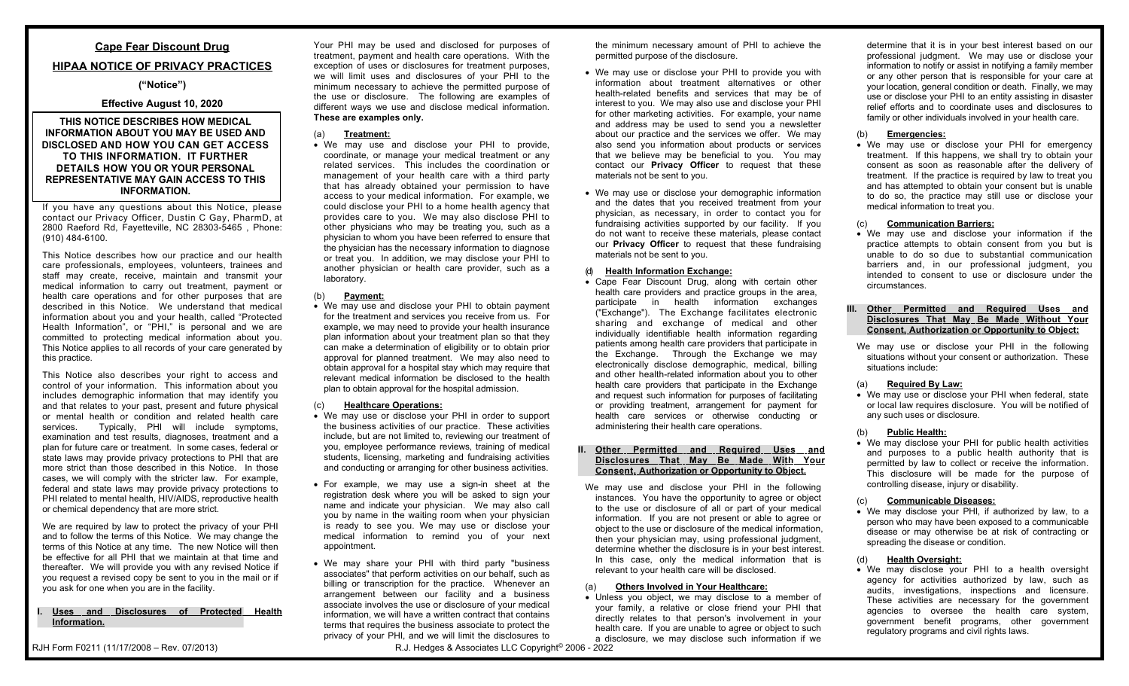# **Cape Fear Discount Drug**

## **HIPAA NOTICE OF PRIVACY PRACTICES**

### **("Notice")**

## **Effective August 10, 2020**

## **THIS NOTICE DESCRIBES HOW MEDICAL INFORMATION ABOUT YOU MAY BE USED AND DISCLOSED AND HOW YOU CAN GET ACCESS TO THIS INFORMATION. IT FURTHER DETAILS HOW YOU OR YOUR PERSONAL REPRESENTATIVE MAY GAIN ACCESS TO THIS INFORMATION.**

If you have any questions about this Notice, please contact our Privacy Officer, Dustin C Gay, PharmD, at 2800 Raeford Rd, Fayetteville, NC 28303-5465 , Phone: (910) 484-6100.

This Notice describes how our practice and our health care professionals, employees, volunteers, trainees and staff may create, receive, maintain and transmit your medical information to carry out treatment, payment or health care operations and for other purposes that are described in this Notice. We understand that medical information about you and your health, called "Protected Health Information", or "PHI," is personal and we are committed to protecting medical information about you. This Notice applies to all records of your care generated by this practice.

This Notice also describes your right to access and control of your information. This information about you includes demographic information that may identify you and that relates to your past, present and future physical or mental health or condition and related health care services. Typically, PHI will include symptoms, examination and test results, diagnoses, treatment and a plan for future care or treatment. In some cases, federal or state laws may provide privacy protections to PHI that are more strict than those described in this Notice. In those cases, we will comply with the stricter law. For example, federal and state laws may provide privacy protections to PHI related to mental health, HIV/AIDS, reproductive health or chemical dependency that are more strict.

We are required by law to protect the privacy of your PHI and to follow the terms of this Notice. We may change the terms of this Notice at any time. The new Notice will then be effective for all PHI that we maintain at that time and thereafter. We will provide you with any revised Notice if you request a revised copy be sent to you in the mail or if you ask for one when you are in the facility.

#### **I. Uses and Disclosures of Protected Health Information.**

RJH Form F0211 (11/17/2008 – Rev. 07/2013)

Your PHI may be used and disclosed for purposes of treatment, payment and health care operations. With the exception of uses or disclosures for treatment purposes, we will limit uses and disclosures of your PHI to the minimum necessary to achieve the permitted purpose of the use or disclosure. The following are examples of different ways we use and disclose medical information. **These are examples only.**

## (a) **Treatment:**

 We may use and disclose your PHI to provide, coordinate, or manage your medical treatment or any related services. This includes the coordination or management of your health care with a third party that has already obtained your permission to have access to your medical information. For example, we could disclose your PHI to a home health agency that provides care to you. We may also disclose PHI to other physicians who may be treating you, such as a physician to whom you have been referred to ensure that the physician has the necessary information to diagnose or treat you. In addition, we may disclose your PHI to another physician or health care provider, such as a laboratory.

### (b) **Payment:**

 We may use and disclose your PHI to obtain payment for the treatment and services you receive from us. For example, we may need to provide your health insurance plan information about your treatment plan so that they can make a determination of eligibility or to obtain prior approval for planned treatment. We may also need to obtain approval for a hospital stay which may require that relevant medical information be disclosed to the health plan to obtain approval for the hospital admission.

## (c) **Healthcare Operations:**

- We may use or disclose your PHI in order to support the business activities of our practice. These activities include, but are not limited to, reviewing our treatment of you, employee performance reviews, training of medical students, licensing, marketing and fundraising activities and conducting or arranging for other business activities.
- For example, we may use a sign-in sheet at the registration desk where you will be asked to sign your name and indicate your physician. We may also call you by name in the waiting room when your physician is ready to see you. We may use or disclose your medical information to remind you of your next appointment.
- We may share your PHI with third party "business associates" that perform activities on our behalf, such as billing or transcription for the practice. Whenever an arrangement between our facility and a business associate involves the use or disclosure of your medical information, we will have a written contract that contains terms that requires the business associate to protect the privacy of your PHI, and we will limit the disclosures to

the minimum necessary amount of PHI to achieve the permitted purpose of the disclosure.

- We may use or disclose your PHI to provide you with information about treatment alternatives or other health-related benefits and services that may be of interest to you. We may also use and disclose your PHI for other marketing activities. For example, your name and address may be used to send you a newsletter about our practice and the services we offer. We may also send you information about products or services that we believe may be beneficial to you. You may contact our **Privacy Officer** to request that these materials not be sent to you.
- We may use or disclose your demographic information and the dates that you received treatment from your physician, as necessary, in order to contact you for fundraising activities supported by our facility. If you do not want to receive these materials, please contact our **Privacy Officer** to request that these fundraising materials not be sent to you.

## (d) **Health Information Exchange:**

 Cape Fear Discount Drug, along with certain other health care providers and practice groups in the area, participate in health information exchanges ("Exchange"). The Exchange facilitates electronic sharing and exchange of medical and other individually identifiable health information regarding patients among health care providers that participate in the Exchange. Through the Exchange we may electronically disclose demographic, medical, billing and other health-related information about you to other health care providers that participate in the Exchange and request such information for purposes of facilitating or providing treatment, arrangement for payment for health care services or otherwise conducting or administering their health care operations.

#### **II. Other Permitted and Required Uses and Disclosures That May Be Made With Your Consent, Authorization or Opportunity to Object.**

We may use and disclose your PHI in the following instances. You have the opportunity to agree or object to the use or disclosure of all or part of your medical information. If you are not present or able to agree or object to the use or disclosure of the medical information, then your physician may, using professional judgment, determine whether the disclosure is in your best interest. In this case, only the medical information that is relevant to your health care will be disclosed.

## **Others Involved in Your Healthcare:**

 Unless you object, we may disclose to a member of your family, a relative or close friend your PHI that directly relates to that person's involvement in your health care. If you are unable to agree or object to such a disclosure, we may disclose such information if we determine that it is in your best interest based on our professional judgment. We may use or disclose your information to notify or assist in notifying a family member or any other person that is responsible for your care at your location, general condition or death. Finally, we may use or disclose your PHI to an entity assisting in disaster relief efforts and to coordinate uses and disclosures to family or other individuals involved in your health care.

#### (b) **Emergencies:**

 We may use or disclose your PHI for emergency treatment. If this happens, we shall try to obtain your consent as soon as reasonable after the delivery of treatment. If the practice is required by law to treat you and has attempted to obtain your consent but is unable to do so, the practice may still use or disclose your medical information to treat you.

#### (c) **Communication Barriers:**

 We may use and disclose your information if the practice attempts to obtain consent from you but is unable to do so due to substantial communication barriers and, in our professional judgment, you intended to consent to use or disclosure under the circumstances.

#### **III. Other Permitted and Required Uses and Disclosures That May Be Made Without Your Consent, Authorization or Opportunity to Object:**

We may use or disclose your PHI in the following situations without your consent or authorization. These situations include:

### (a) **Required By Law:**

 We may use or disclose your PHI when federal, state or local law requires disclosure. You will be notified of any such uses or disclosure.

#### (b) **Public Health:**

 We may disclose your PHI for public health activities and purposes to a public health authority that is permitted by law to collect or receive the information. This disclosure will be made for the purpose of controlling disease, injury or disability.

#### (c) **Communicable Diseases:**

 We may disclose your PHI, if authorized by law, to a person who may have been exposed to a communicable disease or may otherwise be at risk of contracting or spreading the disease or condition.

## (d) **Health Oversight:**

 We may disclose your PHI to a health oversight agency for activities authorized by law, such as audits, investigations, inspections and licensure. These activities are necessary for the government agencies to oversee the health care system, government benefit programs, other government regulatory programs and civil rights laws.

R.J. Hedges & Associates LLC Copyright<sup>©</sup> 2006 - 2022